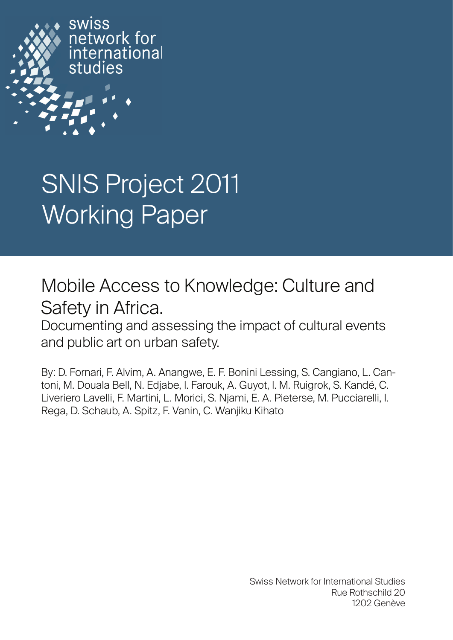

# SNIS Project 2011 Working Paper

# Mobile Access to Knowledge: Culture and Safety in Africa.

Documenting and assessing the impact of cultural events and public art on urban safety.

By: D. Fornari, F. Alvim, A. Anangwe, E. F. Bonini Lessing, S. Cangiano, L. Cantoni, M. Douala Bell, N. Edjabe, I. Farouk, A. Guyot, I. M. Ruigrok, S. Kandé, C. Liveriero Lavelli, F. Martini, L. Morici, S. Njami, E. A. Pieterse, M. Pucciarelli, I. Rega, D. Schaub, A. Spitz, F. Vanin, C. Wanjiku Kihato

> Swiss Network for International Studies Rue Rothschild 20 1202 Genève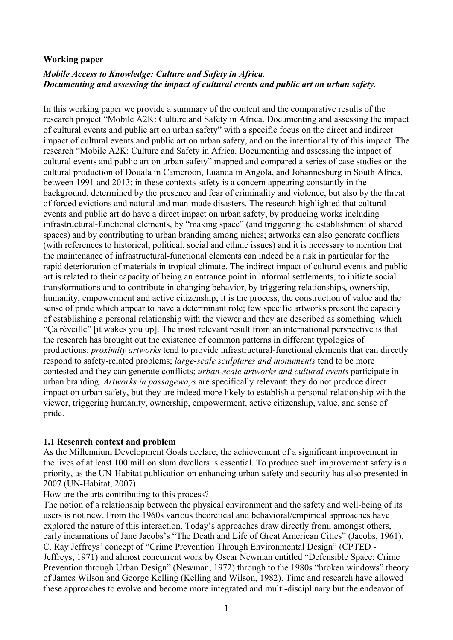#### **Working paper**

# *Mobile Access to Knowledge: Culture and Safety in Africa. Documenting and assessing the impact of cultural events and public art on urban safety.*

In this working paper we provide a summary of the content and the comparative results of the research project "Mobile A2K: Culture and Safety in Africa. Documenting and assessing the impact of cultural events and public art on urban safety" with a specific focus on the direct and indirect impact of cultural events and public art on urban safety, and on the intentionality of this impact. The research "Mobile A2K: Culture and Safety in Africa. Documenting and assessing the impact of cultural events and public art on urban safety" mapped and compared a series of case studies on the cultural production of Douala in Cameroon, Luanda in Angola, and Johannesburg in South Africa, between 1991 and 2013; in these contexts safety is a concern appearing constantly in the background, determined by the presence and fear of criminality and violence, but also by the threat of forced evictions and natural and man-made disasters. The research highlighted that cultural events and public art do have a direct impact on urban safety, by producing works including infrastructural-functional elements, by "making space" (and triggering the establishment of shared spaces) and by contributing to urban branding among niches; artworks can also generate conflicts (with references to historical, political, social and ethnic issues) and it is necessary to mention that the maintenance of infrastructural-functional elements can indeed be a risk in particular for the rapid deterioration of materials in tropical climate. The indirect impact of cultural events and public art is related to their capacity of being an entrance point in informal settlements, to initiate social transformations and to contribute in changing behavior, by triggering relationships, ownership, humanity, empowerment and active citizenship; it is the process, the construction of value and the sense of pride which appear to have a determinant role; few specific artworks present the capacity of establishing a personal relationship with the viewer and they are described as something which "Ça réveille" [it wakes you up]. The most relevant result from an international perspective is that the research has brought out the existence of common patterns in different typologies of productions: *proximity artworks* tend to provide infrastructural-functional elements that can directly respond to safety-related problems; *large-scale sculptures and monuments* tend to be more contested and they can generate conflicts; *urban-scale artworks and cultural events* participate in urban branding. *Artworks in passageways* are specifically relevant: they do not produce direct impact on urban safety, but they are indeed more likely to establish a personal relationship with the viewer, triggering humanity, ownership, empowerment, active citizenship, value, and sense of pride.

#### **1.1 Research context and problem**

As the Millennium Development Goals declare, the achievement of a significant improvement in the lives of at least 100 million slum dwellers is essential. To produce such improvement safety is a priority, as the UN-Habitat publication on enhancing urban safety and security has also presented in 2007 (UN-Habitat, 2007).

#### How are the arts contributing to this process?

The notion of a relationship between the physical environment and the safety and well-being of its users is not new. From the 1960s various theoretical and behavioral/empirical approaches have explored the nature of this interaction. Today's approaches draw directly from, amongst others, early incarnations of Jane Jacobs's "The Death and Life of Great American Cities" (Jacobs, 1961), C. Ray Jeffreys' concept of "Crime Prevention Through Environmental Design" (CPTED - Jeffreys, 1971) and almost concurrent work by Oscar Newman entitled "Defensible Space; Crime Prevention through Urban Design" (Newman, 1972) through to the 1980s "broken windows" theory of James Wilson and George Kelling (Kelling and Wilson, 1982). Time and research have allowed these approaches to evolve and become more integrated and multi-disciplinary but the endeavor of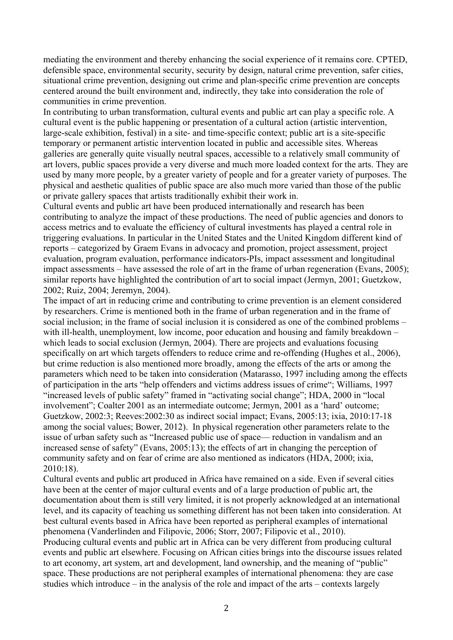mediating the environment and thereby enhancing the social experience of it remains core. CPTED, defensible space, environmental security, security by design, natural crime prevention, safer cities, situational crime prevention, designing out crime and plan-specific crime prevention are concepts centered around the built environment and, indirectly, they take into consideration the role of communities in crime prevention.

In contributing to urban transformation, cultural events and public art can play a specific role. A cultural event is the public happening or presentation of a cultural action (artistic intervention, large-scale exhibition, festival) in a site- and time-specific context; public art is a site-specific temporary or permanent artistic intervention located in public and accessible sites. Whereas galleries are generally quite visually neutral spaces, accessible to a relatively small community of art lovers, public spaces provide a very diverse and much more loaded context for the arts. They are used by many more people, by a greater variety of people and for a greater variety of purposes. The physical and aesthetic qualities of public space are also much more varied than those of the public or private gallery spaces that artists traditionally exhibit their work in.

Cultural events and public art have been produced internationally and research has been contributing to analyze the impact of these productions. The need of public agencies and donors to access metrics and to evaluate the efficiency of cultural investments has played a central role in triggering evaluations. In particular in the United States and the United Kingdom different kind of reports – categorized by Graem Evans in advocacy and promotion, project assessment, project evaluation, program evaluation, performance indicators-PIs, impact assessment and longitudinal impact assessments – have assessed the role of art in the frame of urban regeneration (Evans, 2005); similar reports have highlighted the contribution of art to social impact (Jermyn, 2001; Guetzkow, 2002; Ruiz, 2004; Jeremyn, 2004).

The impact of art in reducing crime and contributing to crime prevention is an element considered by researchers. Crime is mentioned both in the frame of urban regeneration and in the frame of social inclusion; in the frame of social inclusion it is considered as one of the combined problems – with ill-health, unemployment, low income, poor education and housing and family breakdown – which leads to social exclusion (Jermyn, 2004). There are projects and evaluations focusing specifically on art which targets offenders to reduce crime and re-offending (Hughes et al., 2006), but crime reduction is also mentioned more broadly, among the effects of the arts or among the parameters which need to be taken into consideration (Matarasso, 1997 including among the effects of participation in the arts "help offenders and victims address issues of crime"; Williams, 1997 "increased levels of public safety" framed in "activating social change"; HDA, 2000 in "local involvement"; Coalter 2001 as an intermediate outcome; Jermyn, 2001 as a 'hard' outcome; Guetzkow, 2002:3; Reeves:2002:30 as indirect social impact; Evans, 2005:13; ixia, 2010:17-18 among the social values; Bower, 2012). In physical regeneration other parameters relate to the issue of urban safety such as "Increased public use of space— reduction in vandalism and an increased sense of safety" (Evans, 2005:13); the effects of art in changing the perception of community safety and on fear of crime are also mentioned as indicators (HDA, 2000; ixia, 2010:18).

Cultural events and public art produced in Africa have remained on a side. Even if several cities have been at the center of major cultural events and of a large production of public art, the documentation about them is still very limited, it is not properly acknowledged at an international level, and its capacity of teaching us something different has not been taken into consideration. At best cultural events based in Africa have been reported as peripheral examples of international phenomena (Vanderlinden and Filipovic, 2006; Storr, 2007; Filipovic et al., 2010). Producing cultural events and public art in Africa can be very different from producing cultural events and public art elsewhere. Focusing on African cities brings into the discourse issues related to art economy, art system, art and development, land ownership, and the meaning of "public" space. These productions are not peripheral examples of international phenomena: they are case studies which introduce – in the analysis of the role and impact of the arts – contexts largely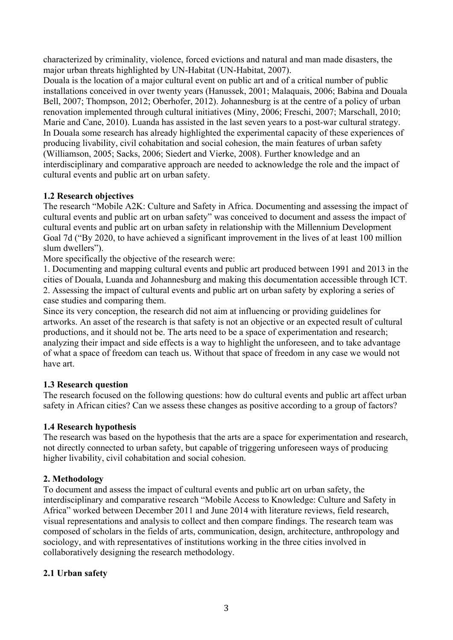characterized by criminality, violence, forced evictions and natural and man made disasters, the major urban threats highlighted by UN-Habitat (UN-Habitat, 2007).

Douala is the location of a major cultural event on public art and of a critical number of public installations conceived in over twenty years (Hanussek, 2001; Malaquais, 2006; Babina and Douala Bell, 2007; Thompson, 2012; Oberhofer, 2012). Johannesburg is at the centre of a policy of urban renovation implemented through cultural initiatives (Miny, 2006; Freschi, 2007; Marschall, 2010; Marie and Cane, 2010). Luanda has assisted in the last seven years to a post-war cultural strategy. In Douala some research has already highlighted the experimental capacity of these experiences of producing livability, civil cohabitation and social cohesion, the main features of urban safety (Williamson, 2005; Sacks, 2006; Siedert and Vierke, 2008). Further knowledge and an interdisciplinary and comparative approach are needed to acknowledge the role and the impact of cultural events and public art on urban safety.

# **1.2 Research objectives**

The research "Mobile A2K: Culture and Safety in Africa. Documenting and assessing the impact of cultural events and public art on urban safety" was conceived to document and assess the impact of cultural events and public art on urban safety in relationship with the Millennium Development Goal 7d ("By 2020, to have achieved a significant improvement in the lives of at least 100 million slum dwellers").

More specifically the objective of the research were:

1. Documenting and mapping cultural events and public art produced between 1991 and 2013 in the cities of Douala, Luanda and Johannesburg and making this documentation accessible through ICT. 2. Assessing the impact of cultural events and public art on urban safety by exploring a series of case studies and comparing them.

Since its very conception, the research did not aim at influencing or providing guidelines for artworks. An asset of the research is that safety is not an objective or an expected result of cultural productions, and it should not be. The arts need to be a space of experimentation and research; analyzing their impact and side effects is a way to highlight the unforeseen, and to take advantage of what a space of freedom can teach us. Without that space of freedom in any case we would not have art.

# **1.3 Research question**

The research focused on the following questions: how do cultural events and public art affect urban safety in African cities? Can we assess these changes as positive according to a group of factors?

# **1.4 Research hypothesis**

The research was based on the hypothesis that the arts are a space for experimentation and research, not directly connected to urban safety, but capable of triggering unforeseen ways of producing higher livability, civil cohabitation and social cohesion.

# **2. Methodology**

To document and assess the impact of cultural events and public art on urban safety, the interdisciplinary and comparative research "Mobile Access to Knowledge: Culture and Safety in Africa" worked between December 2011 and June 2014 with literature reviews, field research, visual representations and analysis to collect and then compare findings. The research team was composed of scholars in the fields of arts, communication, design, architecture, anthropology and sociology, and with representatives of institutions working in the three cities involved in collaboratively designing the research methodology.

# **2.1 Urban safety**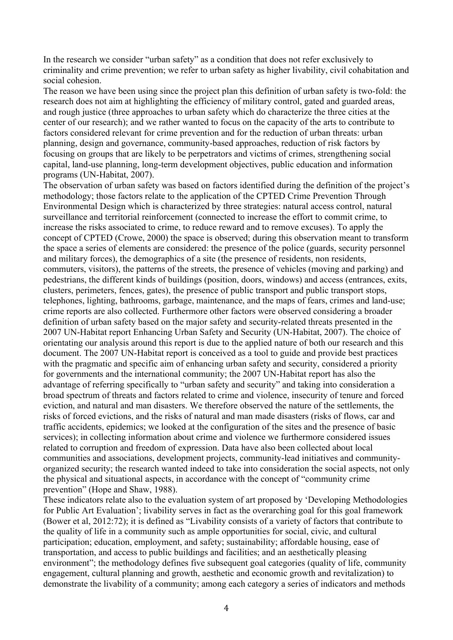In the research we consider "urban safety" as a condition that does not refer exclusively to criminality and crime prevention; we refer to urban safety as higher livability, civil cohabitation and social cohesion.

The reason we have been using since the project plan this definition of urban safety is two-fold: the research does not aim at highlighting the efficiency of military control, gated and guarded areas, and rough justice (three approaches to urban safety which do characterize the three cities at the center of our research); and we rather wanted to focus on the capacity of the arts to contribute to factors considered relevant for crime prevention and for the reduction of urban threats: urban planning, design and governance, community-based approaches, reduction of risk factors by focusing on groups that are likely to be perpetrators and victims of crimes, strengthening social capital, land-use planning, long-term development objectives, public education and information programs (UN-Habitat, 2007).

The observation of urban safety was based on factors identified during the definition of the project's methodology; those factors relate to the application of the CPTED Crime Prevention Through Environmental Design which is characterized by three strategies: natural access control, natural surveillance and territorial reinforcement (connected to increase the effort to commit crime, to increase the risks associated to crime, to reduce reward and to remove excuses). To apply the concept of CPTED (Crowe, 2000) the space is observed; during this observation meant to transform the space a series of elements are considered: the presence of the police (guards, security personnel and military forces), the demographics of a site (the presence of residents, non residents, commuters, visitors), the patterns of the streets, the presence of vehicles (moving and parking) and pedestrians, the different kinds of buildings (position, doors, windows) and access (entrances, exits, clusters, perimeters, fences, gates), the presence of public transport and public transport stops, telephones, lighting, bathrooms, garbage, maintenance, and the maps of fears, crimes and land-use; crime reports are also collected. Furthermore other factors were observed considering a broader definition of urban safety based on the major safety and security-related threats presented in the 2007 UN-Habitat report Enhancing Urban Safety and Security (UN-Habitat, 2007). The choice of orientating our analysis around this report is due to the applied nature of both our research and this document. The 2007 UN-Habitat report is conceived as a tool to guide and provide best practices with the pragmatic and specific aim of enhancing urban safety and security, considered a priority for governments and the international community; the 2007 UN-Habitat report has also the advantage of referring specifically to "urban safety and security" and taking into consideration a broad spectrum of threats and factors related to crime and violence, insecurity of tenure and forced eviction, and natural and man disasters. We therefore observed the nature of the settlements, the risks of forced evictions, and the risks of natural and man made disasters (risks of flows, car and traffic accidents, epidemics; we looked at the configuration of the sites and the presence of basic services); in collecting information about crime and violence we furthermore considered issues related to corruption and freedom of expression. Data have also been collected about local communities and associations, development projects, community-lead initiatives and communityorganized security; the research wanted indeed to take into consideration the social aspects, not only the physical and situational aspects, in accordance with the concept of "community crime prevention" (Hope and Shaw, 1988).

These indicators relate also to the evaluation system of art proposed by 'Developing Methodologies for Public Art Evaluation'; livability serves in fact as the overarching goal for this goal framework (Bower et al, 2012:72); it is defined as "Livability consists of a variety of factors that contribute to the quality of life in a community such as ample opportunities for social, civic, and cultural participation; education, employment, and safety; sustainability; affordable housing, ease of transportation, and access to public buildings and facilities; and an aesthetically pleasing environment"; the methodology defines five subsequent goal categories (quality of life, community engagement, cultural planning and growth, aesthetic and economic growth and revitalization) to demonstrate the livability of a community; among each category a series of indicators and methods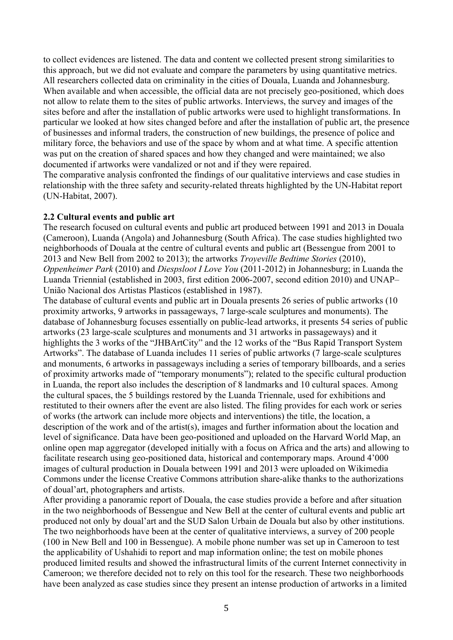to collect evidences are listened. The data and content we collected present strong similarities to this approach, but we did not evaluate and compare the parameters by using quantitative metrics. All researchers collected data on criminality in the cities of Douala, Luanda and Johannesburg. When available and when accessible, the official data are not precisely geo-positioned, which does not allow to relate them to the sites of public artworks. Interviews, the survey and images of the sites before and after the installation of public artworks were used to highlight transformations. In particular we looked at how sites changed before and after the installation of public art, the presence of businesses and informal traders, the construction of new buildings, the presence of police and military force, the behaviors and use of the space by whom and at what time. A specific attention was put on the creation of shared spaces and how they changed and were maintained; we also documented if artworks were vandalized or not and if they were repaired.

The comparative analysis confronted the findings of our qualitative interviews and case studies in relationship with the three safety and security-related threats highlighted by the UN-Habitat report (UN-Habitat, 2007).

#### **2.2 Cultural events and public art**

The research focused on cultural events and public art produced between 1991 and 2013 in Douala (Cameroon), Luanda (Angola) and Johannesburg (South Africa). The case studies highlighted two neighborhoods of Douala at the centre of cultural events and public art (Bessengue from 2001 to 2013 and New Bell from 2002 to 2013); the artworks *Troyeville Bedtime Stories* (2010), *Oppenheimer Park* (2010) and *Diespsloot I Love You* (2011-2012) in Johannesburg; in Luanda the Luanda Triennial (established in 2003, first edition 2006-2007, second edition 2010) and UNAP– União Nacional dos Artistas Plasticos (established in 1987).

The database of cultural events and public art in Douala presents 26 series of public artworks (10 proximity artworks, 9 artworks in passageways, 7 large-scale sculptures and monuments). The database of Johannesburg focuses essentially on public-lead artworks, it presents 54 series of public artworks (23 large-scale sculptures and monuments and 31 artworks in passageways) and it highlights the 3 works of the "JHBArtCity" and the 12 works of the "Bus Rapid Transport System Artworks". The database of Luanda includes 11 series of public artworks (7 large-scale sculptures and monuments, 6 artworks in passageways including a series of temporary billboards, and a series of proximity artworks made of "temporary monuments"); related to the specific cultural production in Luanda, the report also includes the description of 8 landmarks and 10 cultural spaces. Among the cultural spaces, the 5 buildings restored by the Luanda Triennale, used for exhibitions and restituted to their owners after the event are also listed. The filing provides for each work or series of works (the artwork can include more objects and interventions) the title, the location, a description of the work and of the artist(s), images and further information about the location and level of significance. Data have been geo-positioned and uploaded on the Harvard World Map, an online open map aggregator (developed initially with a focus on Africa and the arts) and allowing to facilitate research using geo-positioned data, historical and contemporary maps. Around 4'000 images of cultural production in Douala between 1991 and 2013 were uploaded on Wikimedia Commons under the license Creative Commons attribution share-alike thanks to the authorizations of doual'art, photographers and artists.

After providing a panoramic report of Douala, the case studies provide a before and after situation in the two neighborhoods of Bessengue and New Bell at the center of cultural events and public art produced not only by doual'art and the SUD Salon Urbain de Douala but also by other institutions. The two neighborhoods have been at the center of qualitative interviews, a survey of 200 people (100 in New Bell and 100 in Bessengue). A mobile phone number was set up in Cameroon to test the applicability of Ushahidi to report and map information online; the test on mobile phones produced limited results and showed the infrastructural limits of the current Internet connectivity in Cameroon; we therefore decided not to rely on this tool for the research. These two neighborhoods have been analyzed as case studies since they present an intense production of artworks in a limited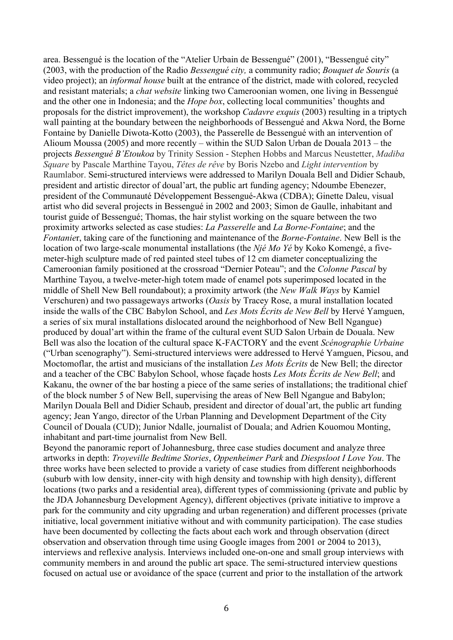area. Bessengué is the location of the "Atelier Urbain de Bessengué" (2001), "Bessengué city" (2003, with the production of the Radio *Bessengué city,* a community radio; *Bouquet de Souris* (a video project); an *informal house* built at the entrance of the district, made with colored, recycled and resistant materials; a *chat website* linking two Cameroonian women, one living in Bessengué and the other one in Indonesia; and the *Hope box*, collecting local communities' thoughts and proposals for the district improvement), the workshop *Cadavre exquis* (2003) resulting in a triptych wall painting at the boundary between the neighborhoods of Bessengué and Akwa Nord, the Borne Fontaine by Danielle Diwota-Kotto (2003), the Passerelle de Bessengué with an intervention of Alioum Moussa (2005) and more recently – within the SUD Salon Urban de Douala 2013 – the projects *Bessengué B'Etoukoa* by Trinity Session - Stephen Hobbs and Marcus Neustetter, *Madiba Square* by Pascale Marthine Tayou, *Têtes de rêve* by Boris Nzebo and *Light intervention* by Raumlabor. Semi-structured interviews were addressed to Marilyn Douala Bell and Didier Schaub, president and artistic director of doual'art, the public art funding agency; Ndoumbe Ebenezer, president of the Communauté Développement Bessengué-Akwa (CDBA); Ginette Daleu, visual artist who did several projects in Bessengué in 2002 and 2003; Simon de Gaulle, inhabitant and tourist guide of Bessengué; Thomas, the hair stylist working on the square between the two proximity artworks selected as case studies: *La Passerelle* and *La Borne-Fontaine*; and the *Fontanie*r, taking care of the functioning and maintenance of the *Borne-Fontaine*. New Bell is the location of two large-scale monumental installations (the *Njé Mo Yé* by Koko Komengé, a fivemeter-high sculpture made of red painted steel tubes of 12 cm diameter conceptualizing the Cameroonian family positioned at the crossroad "Dernier Poteau"; and the *Colonne Pascal* by Marthine Tayou, a twelve-meter-high totem made of enamel pots superimposed located in the middle of Shell New Bell roundabout); a proximity artwork (the *New Walk Ways* by Kamiel Verschuren) and two passageways artworks (*Oasis* by Tracey Rose, a mural installation located inside the walls of the CBC Babylon School, and *Les Mots Écrits de New Bell* by Hervé Yamguen, a series of six mural installations dislocated around the neighborhood of New Bell Ngangue) produced by doual'art within the frame of the cultural event SUD Salon Urbain de Douala. New Bell was also the location of the cultural space K-FACTORY and the event *Scénographie Urbaine*  ("Urban scenography"). Semi-structured interviews were addressed to Hervé Yamguen, Picsou, and Moctomoflar, the artist and musicians of the installation *Les Mots Écrits* de New Bell; the director and a teacher of the CBC Babylon School, whose façade hosts *Les Mots Écrits de New Bell*; and Kakanu, the owner of the bar hosting a piece of the same series of installations; the traditional chief of the block number 5 of New Bell, supervising the areas of New Bell Ngangue and Babylon; Marilyn Douala Bell and Didier Schaub, president and director of doual'art, the public art funding agency; Jean Yango, director of the Urban Planning and Development Department of the City Council of Douala (CUD); Junior Ndalle, journalist of Douala; and Adrien Kouomou Monting, inhabitant and part-time journalist from New Bell.

Beyond the panoramic report of Johannesburg, three case studies document and analyze three artworks in depth: *Troyeville Bedtime Stories*, *Oppenheimer Park* and *Diespsloot I Love You*. The three works have been selected to provide a variety of case studies from different neighborhoods (suburb with low density, inner-city with high density and township with high density), different locations (two parks and a residential area), different types of commissioning (private and public by the JDA Johannesburg Development Agency), different objectives (private initiative to improve a park for the community and city upgrading and urban regeneration) and different processes (private initiative, local government initiative without and with community participation). The case studies have been documented by collecting the facts about each work and through observation (direct observation and observation through time using Google images from 2001 or 2004 to 2013), interviews and reflexive analysis. Interviews included one-on-one and small group interviews with community members in and around the public art space. The semi-structured interview questions focused on actual use or avoidance of the space (current and prior to the installation of the artwork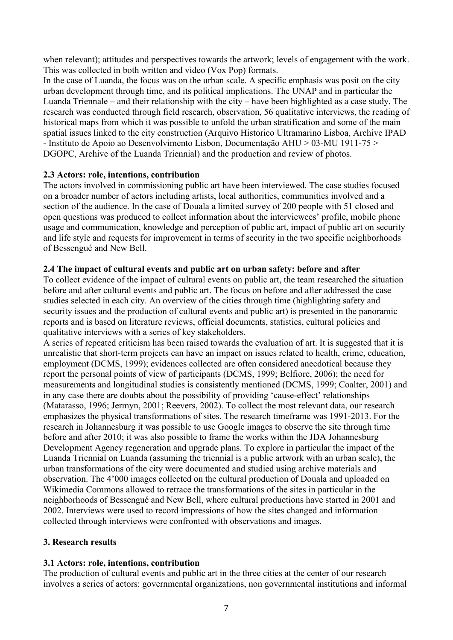when relevant); attitudes and perspectives towards the artwork; levels of engagement with the work. This was collected in both written and video (Vox Pop) formats.

In the case of Luanda, the focus was on the urban scale. A specific emphasis was posit on the city urban development through time, and its political implications. The UNAP and in particular the Luanda Triennale – and their relationship with the city – have been highlighted as a case study. The research was conducted through field research, observation, 56 qualitative interviews, the reading of historical maps from which it was possible to unfold the urban stratification and some of the main spatial issues linked to the city construction (Arquivo Historico Ultramarino Lisboa, Archive IPAD - Instituto de Apoio ao Desenvolvimento Lisbon, Documentação AHU > 03-MU 1911-75 > DGOPC, Archive of the Luanda Triennial) and the production and review of photos.

# **2.3 Actors: role, intentions, contribution**

The actors involved in commissioning public art have been interviewed. The case studies focused on a broader number of actors including artists, local authorities, communities involved and a section of the audience. In the case of Douala a limited survey of 200 people with 51 closed and open questions was produced to collect information about the interviewees' profile, mobile phone usage and communication, knowledge and perception of public art, impact of public art on security and life style and requests for improvement in terms of security in the two specific neighborhoods of Bessengué and New Bell.

# **2.4 The impact of cultural events and public art on urban safety: before and after**

To collect evidence of the impact of cultural events on public art, the team researched the situation before and after cultural events and public art. The focus on before and after addressed the case studies selected in each city. An overview of the cities through time (highlighting safety and security issues and the production of cultural events and public art) is presented in the panoramic reports and is based on literature reviews, official documents, statistics, cultural policies and qualitative interviews with a series of key stakeholders.

A series of repeated criticism has been raised towards the evaluation of art. It is suggested that it is unrealistic that short-term projects can have an impact on issues related to health, crime, education, employment (DCMS, 1999); evidences collected are often considered anecdotical because they report the personal points of view of participants (DCMS, 1999; Belfiore, 2006); the need for measurements and longitudinal studies is consistently mentioned (DCMS, 1999; Coalter, 2001) and in any case there are doubts about the possibility of providing 'cause-effect' relationships (Matarasso, 1996; Jermyn, 2001; Reevers, 2002). To collect the most relevant data, our research emphasizes the physical transformations of sites. The research timeframe was 1991-2013. For the research in Johannesburg it was possible to use Google images to observe the site through time before and after 2010; it was also possible to frame the works within the JDA Johannesburg Development Agency regeneration and upgrade plans. To explore in particular the impact of the Luanda Triennial on Luanda (assuming the triennial is a public artwork with an urban scale), the urban transformations of the city were documented and studied using archive materials and observation. The 4'000 images collected on the cultural production of Douala and uploaded on Wikimedia Commons allowed to retrace the transformations of the sites in particular in the neighborhoods of Bessengué and New Bell, where cultural productions have started in 2001 and 2002. Interviews were used to record impressions of how the sites changed and information collected through interviews were confronted with observations and images.

# **3. Research results**

# **3.1 Actors: role, intentions, contribution**

The production of cultural events and public art in the three cities at the center of our research involves a series of actors: governmental organizations, non governmental institutions and informal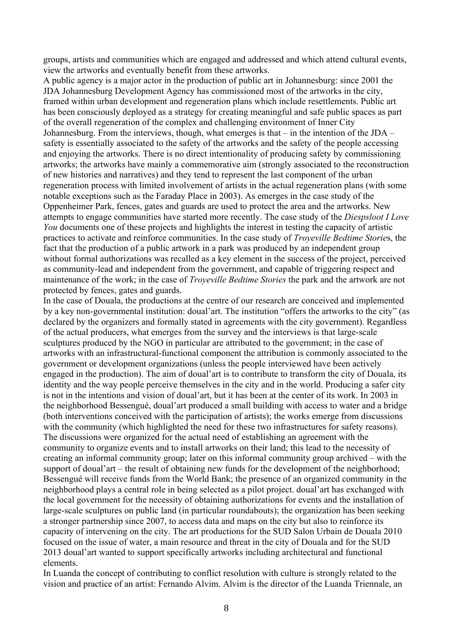groups, artists and communities which are engaged and addressed and which attend cultural events, view the artworks and eventually benefit from these artworks.

A public agency is a major actor in the production of public art in Johannesburg: since 2001 the JDA Johannesburg Development Agency has commissioned most of the artworks in the city, framed within urban development and regeneration plans which include resettlements. Public art has been consciously deployed as a strategy for creating meaningful and safe public spaces as part of the overall regeneration of the complex and challenging environment of Inner City Johannesburg. From the interviews, though, what emerges is that – in the intention of the JDA – safety is essentially associated to the safety of the artworks and the safety of the people accessing and enjoying the artworks. There is no direct intentionality of producing safety by commissioning artworks; the artworks have mainly a commemorative aim (strongly associated to the reconstruction of new histories and narratives) and they tend to represent the last component of the urban regeneration process with limited involvement of artists in the actual regeneration plans (with some notable exceptions such as the Faraday Place in 2003). As emerges in the case study of the Oppenheimer Park, fences, gates and guards are used to protect the area and the artworks. New attempts to engage communities have started more recently. The case study of the *Diespsloot I Love You* documents one of these projects and highlights the interest in testing the capacity of artistic practices to activate and reinforce communities. In the case study of *Troyeville Bedtime Storie*s, the fact that the production of a public artwork in a park was produced by an independent group without formal authorizations was recalled as a key element in the success of the project, perceived as community-lead and independent from the government, and capable of triggering respect and maintenance of the work; in the case of *Troyeville Bedtime Stories* the park and the artwork are not protected by fences, gates and guards.

In the case of Douala, the productions at the centre of our research are conceived and implemented by a key non-governmental institution: doual'art. The institution "offers the artworks to the city" (as declared by the organizers and formally stated in agreements with the city government). Regardless of the actual producers, what emerges from the survey and the interviews is that large-scale sculptures produced by the NGO in particular are attributed to the government; in the case of artworks with an infrastructural-functional component the attribution is commonly associated to the government or development organizations (unless the people interviewed have been actively engaged in the production). The aim of doual'art is to contribute to transform the city of Douala, its identity and the way people perceive themselves in the city and in the world. Producing a safer city is not in the intentions and vision of doual'art, but it has been at the center of its work. In 2003 in the neighborhood Bessengué, doual'art produced a small building with access to water and a bridge (both interventions conceived with the participation of artists); the works emerge from discussions with the community (which highlighted the need for these two infrastructures for safety reasons). The discussions were organized for the actual need of establishing an agreement with the community to organize events and to install artworks on their land; this lead to the necessity of creating an informal community group; later on this informal community group archived – with the support of doual'art – the result of obtaining new funds for the development of the neighborhood; Bessengué will receive funds from the World Bank; the presence of an organized community in the neighborhood plays a central role in being selected as a pilot project. doual'art has exchanged with the local government for the necessity of obtaining authorizations for events and the installation of large-scale sculptures on public land (in particular roundabouts); the organization has been seeking a stronger partnership since 2007, to access data and maps on the city but also to reinforce its capacity of intervening on the city. The art productions for the SUD Salon Urbain de Douala 2010 focused on the issue of water, a main resource and threat in the city of Douala and for the SUD 2013 doual'art wanted to support specifically artworks including architectural and functional elements.

In Luanda the concept of contributing to conflict resolution with culture is strongly related to the vision and practice of an artist: Fernando Alvim. Alvim is the director of the Luanda Triennale, an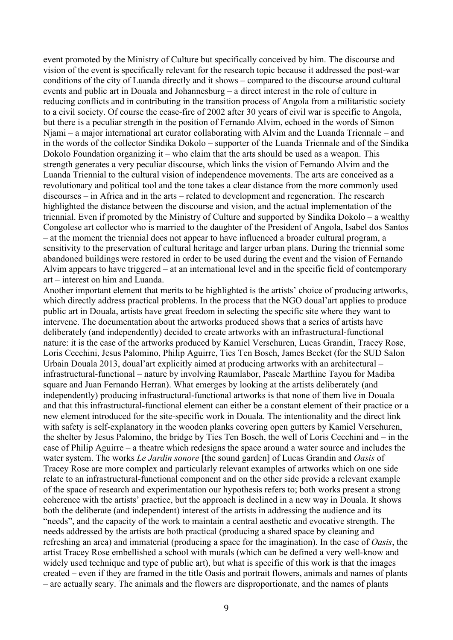event promoted by the Ministry of Culture but specifically conceived by him. The discourse and vision of the event is specifically relevant for the research topic because it addressed the post-war conditions of the city of Luanda directly and it shows – compared to the discourse around cultural events and public art in Douala and Johannesburg – a direct interest in the role of culture in reducing conflicts and in contributing in the transition process of Angola from a militaristic society to a civil society. Of course the cease-fire of 2002 after 30 years of civil war is specific to Angola, but there is a peculiar strength in the position of Fernando Alvim, echoed in the words of Simon Njami – a major international art curator collaborating with Alvim and the Luanda Triennale – and in the words of the collector Sindika Dokolo – supporter of the Luanda Triennale and of the Sindika Dokolo Foundation organizing it – who claim that the arts should be used as a weapon. This strength generates a very peculiar discourse, which links the vision of Fernando Alvim and the Luanda Triennial to the cultural vision of independence movements. The arts are conceived as a revolutionary and political tool and the tone takes a clear distance from the more commonly used discourses – in Africa and in the arts – related to development and regeneration. The research highlighted the distance between the discourse and vision, and the actual implementation of the triennial. Even if promoted by the Ministry of Culture and supported by Sindika Dokolo – a wealthy Congolese art collector who is married to the daughter of the President of Angola, Isabel dos Santos – at the moment the triennial does not appear to have influenced a broader cultural program, a sensitivity to the preservation of cultural heritage and larger urban plans. During the triennial some abandoned buildings were restored in order to be used during the event and the vision of Fernando Alvim appears to have triggered – at an international level and in the specific field of contemporary art – interest on him and Luanda.

Another important element that merits to be highlighted is the artists' choice of producing artworks, which directly address practical problems. In the process that the NGO doual'art applies to produce public art in Douala, artists have great freedom in selecting the specific site where they want to intervene. The documentation about the artworks produced shows that a series of artists have deliberately (and independently) decided to create artworks with an infrastructural-functional nature: it is the case of the artworks produced by Kamiel Verschuren, Lucas Grandin, Tracey Rose, Loris Cecchini, Jesus Palomino, Philip Aguirre, Ties Ten Bosch, James Becket (for the SUD Salon Urbain Douala 2013, doual'art explicitly aimed at producing artworks with an architectural – infrastructural-functional – nature by involving Raumlabor, Pascale Marthine Tayou for Madiba square and Juan Fernando Herran). What emerges by looking at the artists deliberately (and independently) producing infrastructural-functional artworks is that none of them live in Douala and that this infrastructural-functional element can either be a constant element of their practice or a new element introduced for the site-specific work in Douala. The intentionality and the direct link with safety is self-explanatory in the wooden planks covering open gutters by Kamiel Verschuren, the shelter by Jesus Palomino, the bridge by Ties Ten Bosch, the well of Loris Cecchini and – in the case of Philip Aguirre – a theatre which redesigns the space around a water source and includes the water system. The works *Le Jardin sonore* [the sound garden] of Lucas Grandin and *Oasis* of Tracey Rose are more complex and particularly relevant examples of artworks which on one side relate to an infrastructural-functional component and on the other side provide a relevant example of the space of research and experimentation our hypothesis refers to; both works present a strong coherence with the artists' practice, but the approach is declined in a new way in Douala. It shows both the deliberate (and independent) interest of the artists in addressing the audience and its "needs", and the capacity of the work to maintain a central aesthetic and evocative strength. The needs addressed by the artists are both practical (producing a shared space by cleaning and refreshing an area) and immaterial (producing a space for the imagination). In the case of *Oasis*, the artist Tracey Rose embellished a school with murals (which can be defined a very well-know and widely used technique and type of public art), but what is specific of this work is that the images created – even if they are framed in the title Oasis and portrait flowers, animals and names of plants – are actually scary. The animals and the flowers are disproportionate, and the names of plants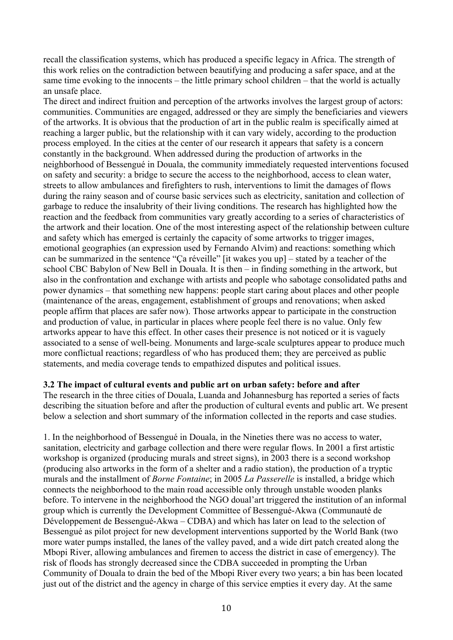recall the classification systems, which has produced a specific legacy in Africa. The strength of this work relies on the contradiction between beautifying and producing a safer space, and at the same time evoking to the innocents – the little primary school children – that the world is actually an unsafe place.

The direct and indirect fruition and perception of the artworks involves the largest group of actors: communities. Communities are engaged, addressed or they are simply the beneficiaries and viewers of the artworks. It is obvious that the production of art in the public realm is specifically aimed at reaching a larger public, but the relationship with it can vary widely, according to the production process employed. In the cities at the center of our research it appears that safety is a concern constantly in the background. When addressed during the production of artworks in the neighborhood of Bessengué in Douala, the community immediately requested interventions focused on safety and security: a bridge to secure the access to the neighborhood, access to clean water, streets to allow ambulances and firefighters to rush, interventions to limit the damages of flows during the rainy season and of course basic services such as electricity, sanitation and collection of garbage to reduce the insalubrity of their living conditions. The research has highlighted how the reaction and the feedback from communities vary greatly according to a series of characteristics of the artwork and their location. One of the most interesting aspect of the relationship between culture and safety which has emerged is certainly the capacity of some artworks to trigger images, emotional geographies (an expression used by Fernando Alvim) and reactions: something which can be summarized in the sentence "Ça réveille" [it wakes you up] – stated by a teacher of the school CBC Babylon of New Bell in Douala. It is then – in finding something in the artwork, but also in the confrontation and exchange with artists and people who sabotage consolidated paths and power dynamics – that something new happens: people start caring about places and other people (maintenance of the areas, engagement, establishment of groups and renovations; when asked people affirm that places are safer now). Those artworks appear to participate in the construction and production of value, in particular in places where people feel there is no value. Only few artworks appear to have this effect. In other cases their presence is not noticed or it is vaguely associated to a sense of well-being. Monuments and large-scale sculptures appear to produce much more conflictual reactions; regardless of who has produced them; they are perceived as public statements, and media coverage tends to empathized disputes and political issues.

# **3.2 The impact of cultural events and public art on urban safety: before and after**

The research in the three cities of Douala, Luanda and Johannesburg has reported a series of facts describing the situation before and after the production of cultural events and public art. We present below a selection and short summary of the information collected in the reports and case studies.

1. In the neighborhood of Bessengué in Douala, in the Nineties there was no access to water, sanitation, electricity and garbage collection and there were regular flows. In 2001 a first artistic workshop is organized (producing murals and street signs), in 2003 there is a second workshop (producing also artworks in the form of a shelter and a radio station), the production of a tryptic murals and the installment of *Borne Fontaine*; in 2005 *La Passerelle* is installed, a bridge which connects the neighborhood to the main road accessible only through unstable wooden planks before. To intervene in the neighborhood the NGO doual'art triggered the institution of an informal group which is currently the Development Committee of Bessengué-Akwa (Communauté de Développement de Bessengué-Akwa – CDBA) and which has later on lead to the selection of Bessengué as pilot project for new development interventions supported by the World Bank (two more water pumps installed, the lanes of the valley paved, and a wide dirt patch created along the Mbopi River, allowing ambulances and firemen to access the district in case of emergency). The risk of floods has strongly decreased since the CDBA succeeded in prompting the Urban Community of Douala to drain the bed of the Mbopi River every two years; a bin has been located just out of the district and the agency in charge of this service empties it every day. At the same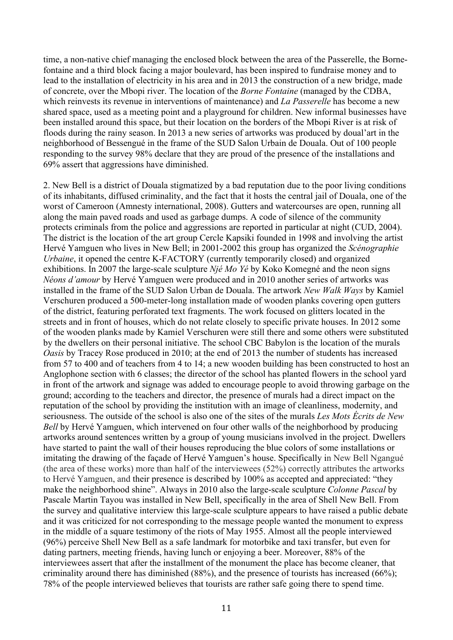time, a non-native chief managing the enclosed block between the area of the Passerelle, the Bornefontaine and a third block facing a major boulevard, has been inspired to fundraise money and to lead to the installation of electricity in his area and in 2013 the construction of a new bridge, made of concrete, over the Mbopi river. The location of the *Borne Fontaine* (managed by the CDBA, which reinvests its revenue in interventions of maintenance) and *La Passerelle* has become a new shared space, used as a meeting point and a playground for children. New informal businesses have been installed around this space, but their location on the borders of the Mbopi River is at risk of floods during the rainy season. In 2013 a new series of artworks was produced by doual'art in the neighborhood of Bessengué in the frame of the SUD Salon Urbain de Douala. Out of 100 people responding to the survey 98% declare that they are proud of the presence of the installations and 69% assert that aggressions have diminished.

2. New Bell is a district of Douala stigmatized by a bad reputation due to the poor living conditions of its inhabitants, diffused criminality, and the fact that it hosts the central jail of Douala, one of the worst of Cameroon (Amnesty international, 2008). Gutters and watercourses are open, running all along the main paved roads and used as garbage dumps. A code of silence of the community protects criminals from the police and aggressions are reported in particular at night (CUD, 2004). The district is the location of the art group Cercle Kapsiki founded in 1998 and involving the artist Hervé Yamguen who lives in New Bell; in 2001-2002 this group has organized the *Scénographie Urbaine*, it opened the centre K-FACTORY (currently temporarily closed) and organized exhibitions. In 2007 the large-scale sculpture *Njé Mo Yé* by Koko Komegné and the neon signs *Néons d'amour* by Hervé Yamguen were produced and in 2010 another series of artworks was installed in the frame of the SUD Salon Urban de Douala. The artwork *New Walk Ways* by Kamiel Verschuren produced a 500-meter-long installation made of wooden planks covering open gutters of the district, featuring perforated text fragments. The work focused on glitters located in the streets and in front of houses, which do not relate closely to specific private houses. In 2012 some of the wooden planks made by Kamiel Verschuren were still there and some others were substituted by the dwellers on their personal initiative. The school CBC Babylon is the location of the murals *Oasis* by Tracey Rose produced in 2010; at the end of 2013 the number of students has increased from 57 to 400 and of teachers from 4 to 14; a new wooden building has been constructed to host an Anglophone section with 6 classes; the director of the school has planted flowers in the school yard in front of the artwork and signage was added to encourage people to avoid throwing garbage on the ground; according to the teachers and director, the presence of murals had a direct impact on the reputation of the school by providing the institution with an image of cleanliness, modernity, and seriousness. The outside of the school is also one of the sites of the murals *Les Mots Écrits de New Bell* by Hervé Yamguen, which intervened on four other walls of the neighborhood by producing artworks around sentences written by a group of young musicians involved in the project. Dwellers have started to paint the wall of their houses reproducing the blue colors of some installations or imitating the drawing of the façade of Hervé Yamguen's house. Specifically in New Bell Ngangué (the area of these works) more than half of the interviewees (52%) correctly attributes the artworks to Hervé Yamguen, and their presence is described by 100% as accepted and appreciated: "they make the neighborhood shine". Always in 2010 also the large-scale sculpture *Colonne Pascal* by Pascale Martin Tayou was installed in New Bell, specifically in the area of Shell New Bell. From the survey and qualitative interview this large-scale sculpture appears to have raised a public debate and it was criticized for not corresponding to the message people wanted the monument to express in the middle of a square testimony of the riots of May 1955. Almost all the people interviewed (96%) perceive Shell New Bell as a safe landmark for motorbike and taxi transfer, but even for dating partners, meeting friends, having lunch or enjoying a beer. Moreover, 88% of the interviewees assert that after the installment of the monument the place has become cleaner, that criminality around there has diminished (88%), and the presence of tourists has increased (66%); 78% of the people interviewed believes that tourists are rather safe going there to spend time.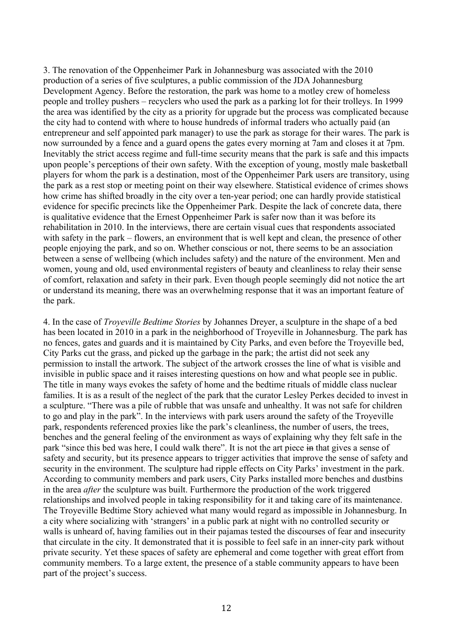3. The renovation of the Oppenheimer Park in Johannesburg was associated with the 2010 production of a series of five sculptures, a public commission of the JDA Johannesburg Development Agency. Before the restoration, the park was home to a motley crew of homeless people and trolley pushers – recyclers who used the park as a parking lot for their trolleys. In 1999 the area was identified by the city as a priority for upgrade but the process was complicated because the city had to contend with where to house hundreds of informal traders who actually paid (an entrepreneur and self appointed park manager) to use the park as storage for their wares. The park is now surrounded by a fence and a guard opens the gates every morning at 7am and closes it at 7pm. Inevitably the strict access regime and full-time security means that the park is safe and this impacts upon people's perceptions of their own safety. With the exception of young, mostly male basketball players for whom the park is a destination, most of the Oppenheimer Park users are transitory, using the park as a rest stop or meeting point on their way elsewhere. Statistical evidence of crimes shows how crime has shifted broadly in the city over a ten-year period; one can hardly provide statistical evidence for specific precincts like the Oppenheimer Park. Despite the lack of concrete data, there is qualitative evidence that the Ernest Oppenheimer Park is safer now than it was before its rehabilitation in 2010. In the interviews, there are certain visual cues that respondents associated with safety in the park – flowers, an environment that is well kept and clean, the presence of other people enjoying the park, and so on. Whether conscious or not, there seems to be an association between a sense of wellbeing (which includes safety) and the nature of the environment. Men and women, young and old, used environmental registers of beauty and cleanliness to relay their sense of comfort, relaxation and safety in their park. Even though people seemingly did not notice the art or understand its meaning, there was an overwhelming response that it was an important feature of the park.

4. In the case of *Troyeville Bedtime Stories* by Johannes Dreyer, a sculpture in the shape of a bed has been located in 2010 in a park in the neighborhood of Troyeville in Johannesburg. The park has no fences, gates and guards and it is maintained by City Parks, and even before the Troyeville bed, City Parks cut the grass, and picked up the garbage in the park; the artist did not seek any permission to install the artwork. The subject of the artwork crosses the line of what is visible and invisible in public space and it raises interesting questions on how and what people see in public. The title in many ways evokes the safety of home and the bedtime rituals of middle class nuclear families. It is as a result of the neglect of the park that the curator Lesley Perkes decided to invest in a sculpture. "There was a pile of rubble that was unsafe and unhealthy. It was not safe for children to go and play in the park". In the interviews with park users around the safety of the Troyeville park, respondents referenced proxies like the park's cleanliness, the number of users, the trees, benches and the general feeling of the environment as ways of explaining why they felt safe in the park "since this bed was here, I could walk there". It is not the art piece in that gives a sense of safety and security, but its presence appears to trigger activities that improve the sense of safety and security in the environment. The sculpture had ripple effects on City Parks' investment in the park. According to community members and park users, City Parks installed more benches and dustbins in the area *after* the sculpture was built. Furthermore the production of the work triggered relationships and involved people in taking responsibility for it and taking care of its maintenance. The Troyeville Bedtime Story achieved what many would regard as impossible in Johannesburg. In a city where socializing with 'strangers' in a public park at night with no controlled security or walls is unheard of, having families out in their pajamas tested the discourses of fear and insecurity that circulate in the city. It demonstrated that it is possible to feel safe in an inner-city park without private security. Yet these spaces of safety are ephemeral and come together with great effort from community members. To a large extent, the presence of a stable community appears to have been part of the project's success.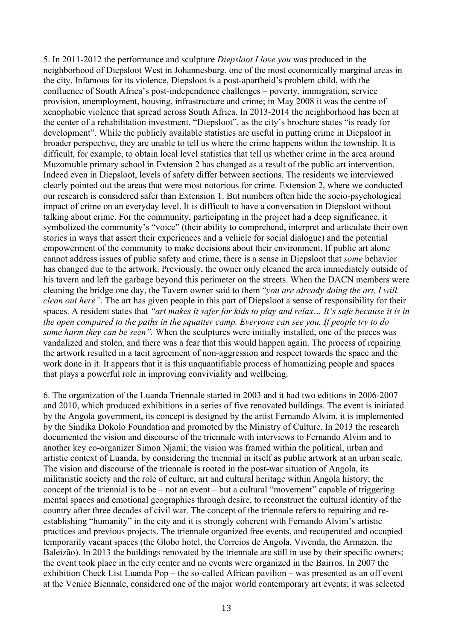5. In 2011-2012 the performance and sculpture *Diepsloot I love you* was produced in the neighborhood of Diepsloot West in Johannesburg, one of the most economically marginal areas in the city. Infamous for its violence, Diepsloot is a post-apartheid's problem child, with the confluence of South Africa's post-independence challenges – poverty, immigration, service provision, unemployment, housing, infrastructure and crime; in May 2008 it was the centre of xenophobic violence that spread across South Africa. In 2013-2014 the neighborhood has been at the center of a rehabilitation investment. "Diepsloot", as the city's brochure states "is ready for development". While the publicly available statistics are useful in putting crime in Diepsloot in broader perspective, they are unable to tell us where the crime happens within the township. It is difficult, for example, to obtain local level statistics that tell us whether crime in the area around Muzomuhle primary school in Extension 2 has changed as a result of the public art intervention. Indeed even in Diepsloot, levels of safety differ between sections. The residents we interviewed clearly pointed out the areas that were most notorious for crime. Extension 2, where we conducted our research is considered safer than Extension 1. But numbers often hide the socio-psychological impact of crime on an everyday level. It is difficult to have a conversation in Diepsloot without talking about crime. For the community, participating in the project had a deep significance, it symbolized the community's "voice" (their ability to comprehend, interpret and articulate their own stories in ways that assert their experiences and a vehicle for social dialogue) and the potential empowerment of the community to make decisions about their environment. If public art alone cannot address issues of public safety and crime, there is a sense in Diepsloot that *some* behavior has changed due to the artwork. Previously, the owner only cleaned the area immediately outside of his tavern and left the garbage beyond this perimeter on the streets. When the DACN members were cleaning the bridge one day, the Tavern owner said to them "*you are already doing the art, I will clean out here"*. The art has given people in this part of Diepsloot a sense of responsibility for their spaces. A resident states that *"art makes it safer for kids to play and relax… It's safe because it is in the open compared to the paths in the squatter camp. Everyone can see you. If people try to do some harm they can be seen"*. When the sculptures were initially installed, one of the pieces was vandalized and stolen, and there was a fear that this would happen again. The process of repairing the artwork resulted in a tacit agreement of non-aggression and respect towards the space and the work done in it. It appears that it is this unquantifiable process of humanizing people and spaces that plays a powerful role in improving conviviality and wellbeing.

6. The organization of the Luanda Triennale started in 2003 and it had two editions in 2006-2007 and 2010, which produced exhibitions in a series of five renovated buildings. The event is initiated by the Angola government, its concept is designed by the artist Fernando Alvim, it is implemented by the Sindika Dokolo Foundation and promoted by the Ministry of Culture. In 2013 the research documented the vision and discourse of the triennale with interviews to Fernando Alvim and to another key co-organizer Simon Njami; the vision was framed within the political, urban and artistic context of Luanda, by considering the triennial in itself as public artwork at an urban scale. The vision and discourse of the triennale is rooted in the post-war situation of Angola, its militaristic society and the role of culture, art and cultural heritage within Angola history; the concept of the triennial is to be – not an event – but a cultural "movement" capable of triggering mental spaces and emotional geographies through desire, to reconstruct the cultural identity of the country after three decades of civil war. The concept of the triennale refers to repairing and reestablishing "humanity" in the city and it is strongly coherent with Fernando Alvim's artistic practices and previous projects. The triennale organized free events, and recuperated and occupied temporarily vacant spaces (the Globo hotel, the Correios de Angola, Vivenda, the Armazen, the Baleizão). In 2013 the buildings renovated by the triennale are still in use by their specific owners; the event took place in the city center and no events were organized in the Bairros. In 2007 the exhibition Check List Luanda Pop – the so-called African pavilion – was presented as an off event at the Venice Biennale, considered one of the major world contemporary art events; it was selected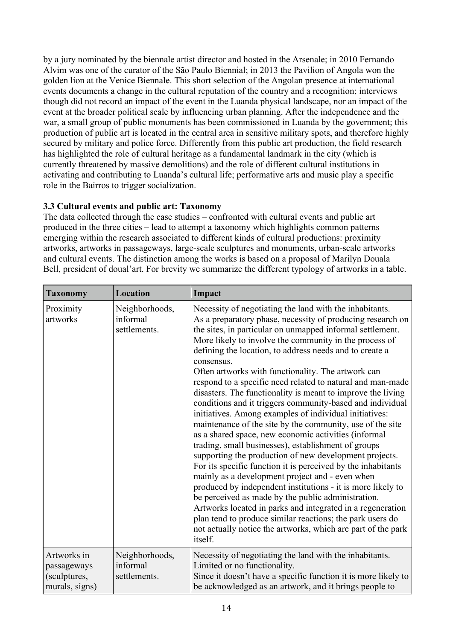by a jury nominated by the biennale artist director and hosted in the Arsenale; in 2010 Fernando Alvim was one of the curator of the São Paulo Biennial; in 2013 the Pavilion of Angola won the golden lion at the Venice Biennale. This short selection of the Angolan presence at international events documents a change in the cultural reputation of the country and a recognition; interviews though did not record an impact of the event in the Luanda physical landscape, nor an impact of the event at the broader political scale by influencing urban planning. After the independence and the war, a small group of public monuments has been commissioned in Luanda by the government; this production of public art is located in the central area in sensitive military spots, and therefore highly secured by military and police force. Differently from this public art production, the field research has highlighted the role of cultural heritage as a fundamental landmark in the city (which is currently threatened by massive demolitions) and the role of different cultural institutions in activating and contributing to Luanda's cultural life; performative arts and music play a specific role in the Bairros to trigger socialization.

# **3.3 Cultural events and public art: Taxonomy**

The data collected through the case studies – confronted with cultural events and public art produced in the three cities – lead to attempt a taxonomy which highlights common patterns emerging within the research associated to different kinds of cultural productions: proximity artworks, artworks in passageways, large-scale sculptures and monuments, urban-scale artworks and cultural events. The distinction among the works is based on a proposal of Marilyn Douala Bell, president of doual'art. For brevity we summarize the different typology of artworks in a table.

| <b>Taxonomy</b>                                              | <b>Location</b>                            | Impact                                                                                                                                                                                                                                                                                                                                                                                                                                                                                                                                                                                                                                                                                                                                                                                                                                                                                                                                                                                                                                                                                                                                                                                                                                                                                                              |
|--------------------------------------------------------------|--------------------------------------------|---------------------------------------------------------------------------------------------------------------------------------------------------------------------------------------------------------------------------------------------------------------------------------------------------------------------------------------------------------------------------------------------------------------------------------------------------------------------------------------------------------------------------------------------------------------------------------------------------------------------------------------------------------------------------------------------------------------------------------------------------------------------------------------------------------------------------------------------------------------------------------------------------------------------------------------------------------------------------------------------------------------------------------------------------------------------------------------------------------------------------------------------------------------------------------------------------------------------------------------------------------------------------------------------------------------------|
| Proximity<br>artworks                                        | Neighborhoods,<br>informal<br>settlements. | Necessity of negotiating the land with the inhabitants.<br>As a preparatory phase, necessity of producing research on<br>the sites, in particular on unmapped informal settlement.<br>More likely to involve the community in the process of<br>defining the location, to address needs and to create a<br>consensus.<br>Often artworks with functionality. The artwork can<br>respond to a specific need related to natural and man-made<br>disasters. The functionality is meant to improve the living<br>conditions and it triggers community-based and individual<br>initiatives. Among examples of individual initiatives:<br>maintenance of the site by the community, use of the site<br>as a shared space, new economic activities (informal<br>trading, small businesses), establishment of groups<br>supporting the production of new development projects.<br>For its specific function it is perceived by the inhabitants<br>mainly as a development project and - even when<br>produced by independent institutions - it is more likely to<br>be perceived as made by the public administration.<br>Artworks located in parks and integrated in a regeneration<br>plan tend to produce similar reactions; the park users do<br>not actually notice the artworks, which are part of the park<br>itself. |
| Artworks in<br>passageways<br>(sculptures,<br>murals, signs) | Neighborhoods,<br>informal<br>settlements. | Necessity of negotiating the land with the inhabitants.<br>Limited or no functionality.<br>Since it doesn't have a specific function it is more likely to<br>be acknowledged as an artwork, and it brings people to                                                                                                                                                                                                                                                                                                                                                                                                                                                                                                                                                                                                                                                                                                                                                                                                                                                                                                                                                                                                                                                                                                 |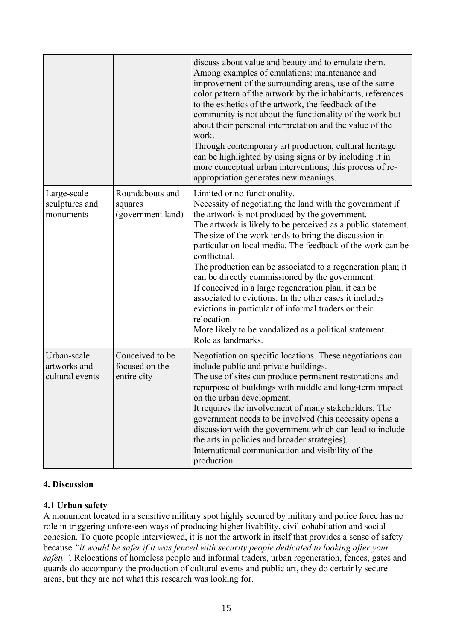|                                                |                                                  | discuss about value and beauty and to emulate them.<br>Among examples of emulations: maintenance and<br>improvement of the surrounding areas, use of the same<br>color pattern of the artwork by the inhabitants, references<br>to the esthetics of the artwork, the feedback of the<br>community is not about the functionality of the work but<br>about their personal interpretation and the value of the<br>work.<br>Through contemporary art production, cultural heritage<br>can be highlighted by using signs or by including it in<br>more conceptual urban interventions; this process of re-<br>appropriation generates new meanings.                                                                                               |
|------------------------------------------------|--------------------------------------------------|-----------------------------------------------------------------------------------------------------------------------------------------------------------------------------------------------------------------------------------------------------------------------------------------------------------------------------------------------------------------------------------------------------------------------------------------------------------------------------------------------------------------------------------------------------------------------------------------------------------------------------------------------------------------------------------------------------------------------------------------------|
| Large-scale<br>sculptures and<br>monuments     | Roundabouts and<br>squares<br>(government land)  | Limited or no functionality.<br>Necessity of negotiating the land with the government if<br>the artwork is not produced by the government.<br>The artwork is likely to be perceived as a public statement.<br>The size of the work tends to bring the discussion in<br>particular on local media. The feedback of the work can be<br>conflictual.<br>The production can be associated to a regeneration plan; it<br>can be directly commissioned by the government.<br>If conceived in a large regeneration plan, it can be<br>associated to evictions. In the other cases it includes<br>evictions in particular of informal traders or their<br>relocation.<br>More likely to be vandalized as a political statement.<br>Role as landmarks. |
| Urban-scale<br>artworks and<br>cultural events | Conceived to be<br>focused on the<br>entire city | Negotiation on specific locations. These negotiations can<br>include public and private buildings.<br>The use of sites can produce permanent restorations and<br>repurpose of buildings with middle and long-term impact<br>on the urban development.<br>It requires the involvement of many stakeholders. The<br>government needs to be involved (this necessity opens a<br>discussion with the government which can lead to include<br>the arts in policies and broader strategies).<br>International communication and visibility of the<br>production.                                                                                                                                                                                    |

# **4. Discussion**

# **4.1 Urban safety**

A monument located in a sensitive military spot highly secured by military and police force has no role in triggering unforeseen ways of producing higher livability, civil cohabitation and social cohesion. To quote people interviewed, it is not the artwork in itself that provides a sense of safety because *"it would be safer if it was fenced with security people dedicated to looking after your safety"*. Relocations of homeless people and informal traders, urban regeneration, fences, gates and guards do accompany the production of cultural events and public art, they do certainly secure areas, but they are not what this research was looking for.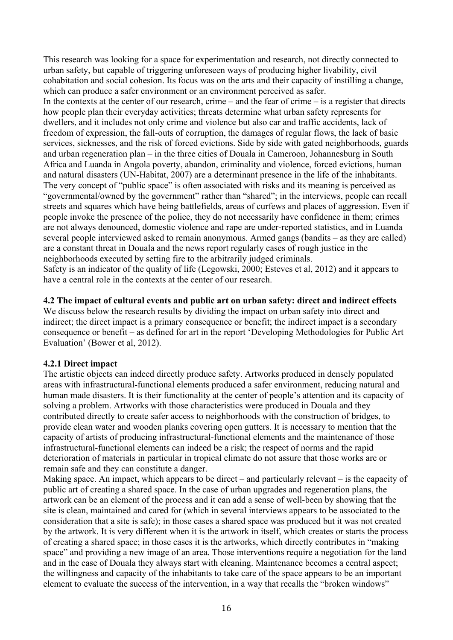This research was looking for a space for experimentation and research, not directly connected to urban safety, but capable of triggering unforeseen ways of producing higher livability, civil cohabitation and social cohesion. Its focus was on the arts and their capacity of instilling a change, which can produce a safer environment or an environment perceived as safer. In the contexts at the center of our research, crime – and the fear of crime – is a register that directs how people plan their everyday activities; threats determine what urban safety represents for dwellers, and it includes not only crime and violence but also car and traffic accidents, lack of freedom of expression, the fall-outs of corruption, the damages of regular flows, the lack of basic services, sicknesses, and the risk of forced evictions. Side by side with gated neighborhoods, guards and urban regeneration plan – in the three cities of Douala in Cameroon, Johannesburg in South Africa and Luanda in Angola poverty, abandon, criminality and violence, forced evictions, human and natural disasters (UN-Habitat, 2007) are a determinant presence in the life of the inhabitants. The very concept of "public space" is often associated with risks and its meaning is perceived as "governmental/owned by the government" rather than "shared"; in the interviews, people can recall streets and squares which have being battlefields, areas of curfews and places of aggression. Even if people invoke the presence of the police, they do not necessarily have confidence in them; crimes are not always denounced, domestic violence and rape are under-reported statistics, and in Luanda several people interviewed asked to remain anonymous. Armed gangs (bandits – as they are called) are a constant threat in Douala and the news report regularly cases of rough justice in the neighborhoods executed by setting fire to the arbitrarily judged criminals. Safety is an indicator of the quality of life (Legowski, 2000; Esteves et al, 2012) and it appears to have a central role in the contexts at the center of our research.

#### **4.2 The impact of cultural events and public art on urban safety: direct and indirect effects**

We discuss below the research results by dividing the impact on urban safety into direct and indirect; the direct impact is a primary consequence or benefit; the indirect impact is a secondary consequence or benefit – as defined for art in the report 'Developing Methodologies for Public Art Evaluation' (Bower et al, 2012).

#### **4.2.1 Direct impact**

The artistic objects can indeed directly produce safety. Artworks produced in densely populated areas with infrastructural-functional elements produced a safer environment, reducing natural and human made disasters. It is their functionality at the center of people's attention and its capacity of solving a problem. Artworks with those characteristics were produced in Douala and they contributed directly to create safer access to neighborhoods with the construction of bridges, to provide clean water and wooden planks covering open gutters. It is necessary to mention that the capacity of artists of producing infrastructural-functional elements and the maintenance of those infrastructural-functional elements can indeed be a risk; the respect of norms and the rapid deterioration of materials in particular in tropical climate do not assure that those works are or remain safe and they can constitute a danger.

Making space. An impact, which appears to be direct – and particularly relevant – is the capacity of public art of creating a shared space. In the case of urban upgrades and regeneration plans, the artwork can be an element of the process and it can add a sense of well-been by showing that the site is clean, maintained and cared for (which in several interviews appears to be associated to the consideration that a site is safe); in those cases a shared space was produced but it was not created by the artwork. It is very different when it is the artwork in itself, which creates or starts the process of creating a shared space; in those cases it is the artworks, which directly contributes in "making space" and providing a new image of an area. Those interventions require a negotiation for the land and in the case of Douala they always start with cleaning. Maintenance becomes a central aspect; the willingness and capacity of the inhabitants to take care of the space appears to be an important element to evaluate the success of the intervention, in a way that recalls the "broken windows"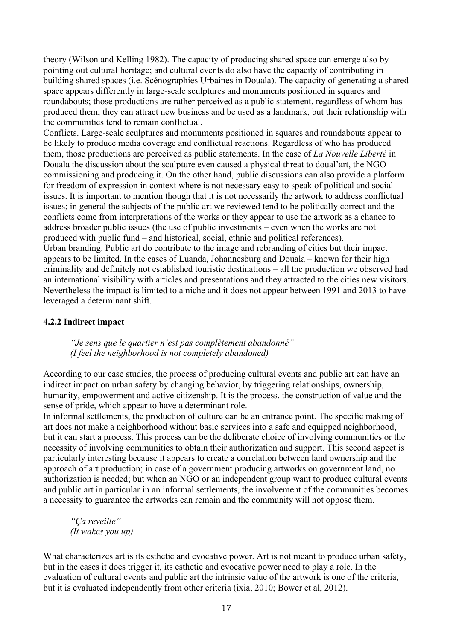theory (Wilson and Kelling 1982). The capacity of producing shared space can emerge also by pointing out cultural heritage; and cultural events do also have the capacity of contributing in building shared spaces (i.e. Scénographies Urbaines in Douala). The capacity of generating a shared space appears differently in large-scale sculptures and monuments positioned in squares and roundabouts; those productions are rather perceived as a public statement, regardless of whom has produced them; they can attract new business and be used as a landmark, but their relationship with the communities tend to remain conflictual.

Conflicts. Large-scale sculptures and monuments positioned in squares and roundabouts appear to be likely to produce media coverage and conflictual reactions. Regardless of who has produced them, those productions are perceived as public statements. In the case of *La Nouvelle Liberté* in Douala the discussion about the sculpture even caused a physical threat to doual'art, the NGO commissioning and producing it. On the other hand, public discussions can also provide a platform for freedom of expression in context where is not necessary easy to speak of political and social issues. It is important to mention though that it is not necessarily the artwork to address conflictual issues; in general the subjects of the public art we reviewed tend to be politically correct and the conflicts come from interpretations of the works or they appear to use the artwork as a chance to address broader public issues (the use of public investments – even when the works are not produced with public fund – and historical, social, ethnic and political references). Urban branding. Public art do contribute to the image and rebranding of cities but their impact appears to be limited. In the cases of Luanda, Johannesburg and Douala – known for their high criminality and definitely not established touristic destinations – all the production we observed had an international visibility with articles and presentations and they attracted to the cities new visitors. Nevertheless the impact is limited to a niche and it does not appear between 1991 and 2013 to have leveraged a determinant shift.

# **4.2.2 Indirect impact**

*"Je sens que le quartier n'est pas complètement abandonné" (I feel the neighborhood is not completely abandoned)*

According to our case studies, the process of producing cultural events and public art can have an indirect impact on urban safety by changing behavior, by triggering relationships, ownership, humanity, empowerment and active citizenship. It is the process, the construction of value and the sense of pride, which appear to have a determinant role.

In informal settlements, the production of culture can be an entrance point. The specific making of art does not make a neighborhood without basic services into a safe and equipped neighborhood, but it can start a process. This process can be the deliberate choice of involving communities or the necessity of involving communities to obtain their authorization and support. This second aspect is particularly interesting because it appears to create a correlation between land ownership and the approach of art production; in case of a government producing artworks on government land, no authorization is needed; but when an NGO or an independent group want to produce cultural events and public art in particular in an informal settlements, the involvement of the communities becomes a necessity to guarantee the artworks can remain and the community will not oppose them.

*"Ça reveille" (It wakes you up)*

What characterizes art is its esthetic and evocative power. Art is not meant to produce urban safety, but in the cases it does trigger it, its esthetic and evocative power need to play a role. In the evaluation of cultural events and public art the intrinsic value of the artwork is one of the criteria, but it is evaluated independently from other criteria (ixia, 2010; Bower et al, 2012).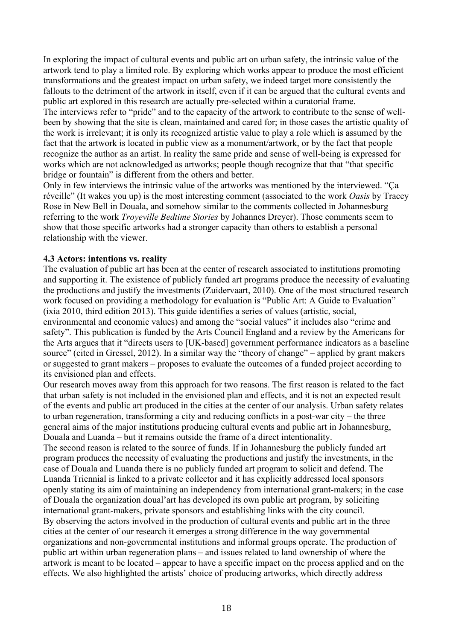In exploring the impact of cultural events and public art on urban safety, the intrinsic value of the artwork tend to play a limited role. By exploring which works appear to produce the most efficient transformations and the greatest impact on urban safety, we indeed target more consistently the fallouts to the detriment of the artwork in itself, even if it can be argued that the cultural events and public art explored in this research are actually pre-selected within a curatorial frame.

The interviews refer to "pride" and to the capacity of the artwork to contribute to the sense of wellbeen by showing that the site is clean, maintained and cared for; in those cases the artistic quality of the work is irrelevant; it is only its recognized artistic value to play a role which is assumed by the fact that the artwork is located in public view as a monument/artwork, or by the fact that people recognize the author as an artist. In reality the same pride and sense of well-being is expressed for works which are not acknowledged as artworks; people though recognize that that "that specific bridge or fountain" is different from the others and better.

Only in few interviews the intrinsic value of the artworks was mentioned by the interviewed. "Ça réveille" (It wakes you up) is the most interesting comment (associated to the work *Oasis* by Tracey Rose in New Bell in Douala, and somehow similar to the comments collected in Johannesburg referring to the work *Troyeville Bedtime Stories* by Johannes Dreyer). Those comments seem to show that those specific artworks had a stronger capacity than others to establish a personal relationship with the viewer.

#### **4.3 Actors: intentions vs. reality**

The evaluation of public art has been at the center of research associated to institutions promoting and supporting it. The existence of publicly funded art programs produce the necessity of evaluating the productions and justify the investments (Zuidervaart, 2010). One of the most structured research work focused on providing a methodology for evaluation is "Public Art: A Guide to Evaluation" (ixia 2010, third edition 2013). This guide identifies a series of values (artistic, social, environmental and economic values) and among the "social values" it includes also "crime and safety". This publication is funded by the Arts Council England and a review by the Americans for the Arts argues that it "directs users to [UK-based] government performance indicators as a baseline source" (cited in Gressel, 2012). In a similar way the "theory of change" – applied by grant makers or suggested to grant makers – proposes to evaluate the outcomes of a funded project according to its envisioned plan and effects.

Our research moves away from this approach for two reasons. The first reason is related to the fact that urban safety is not included in the envisioned plan and effects, and it is not an expected result of the events and public art produced in the cities at the center of our analysis. Urban safety relates to urban regeneration, transforming a city and reducing conflicts in a post-war city – the three general aims of the major institutions producing cultural events and public art in Johannesburg, Douala and Luanda – but it remains outside the frame of a direct intentionality.

The second reason is related to the source of funds. If in Johannesburg the publicly funded art program produces the necessity of evaluating the productions and justify the investments, in the case of Douala and Luanda there is no publicly funded art program to solicit and defend. The Luanda Triennial is linked to a private collector and it has explicitly addressed local sponsors openly stating its aim of maintaining an independency from international grant-makers; in the case of Douala the organization doual'art has developed its own public art program, by soliciting international grant-makers, private sponsors and establishing links with the city council. By observing the actors involved in the production of cultural events and public art in the three cities at the center of our research it emerges a strong difference in the way governmental organizations and non-governmental institutions and informal groups operate. The production of public art within urban regeneration plans – and issues related to land ownership of where the artwork is meant to be located – appear to have a specific impact on the process applied and on the effects. We also highlighted the artists' choice of producing artworks, which directly address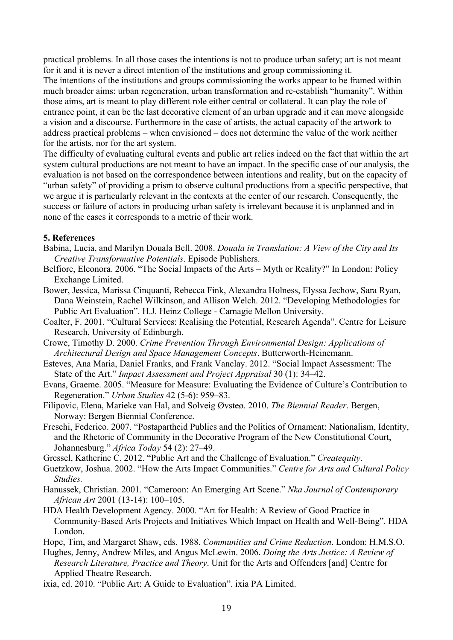practical problems. In all those cases the intentions is not to produce urban safety; art is not meant for it and it is never a direct intention of the institutions and group commissioning it. The intentions of the institutions and groups commissioning the works appear to be framed within much broader aims: urban regeneration, urban transformation and re-establish "humanity". Within those aims, art is meant to play different role either central or collateral. It can play the role of entrance point, it can be the last decorative element of an urban upgrade and it can move alongside a vision and a discourse. Furthermore in the case of artists, the actual capacity of the artwork to address practical problems – when envisioned – does not determine the value of the work neither for the artists, nor for the art system.

The difficulty of evaluating cultural events and public art relies indeed on the fact that within the art system cultural productions are not meant to have an impact. In the specific case of our analysis, the evaluation is not based on the correspondence between intentions and reality, but on the capacity of "urban safety" of providing a prism to observe cultural productions from a specific perspective, that we argue it is particularly relevant in the contexts at the center of our research. Consequently, the success or failure of actors in producing urban safety is irrelevant because it is unplanned and in none of the cases it corresponds to a metric of their work.

#### **5. References**

- Babina, Lucia, and Marilyn Douala Bell. 2008. *Douala in Translation: A View of the City and Its Creative Transformative Potentials*. Episode Publishers.
- Belfiore, Eleonora. 2006. "The Social Impacts of the Arts Myth or Reality?" In London: Policy Exchange Limited.
- Bower, Jessica, Marissa Cinquanti, Rebecca Fink, Alexandra Holness, Elyssa Jechow, Sara Ryan, Dana Weinstein, Rachel Wilkinson, and Allison Welch. 2012. "Developing Methodologies for Public Art Evaluation". H.J. Heinz College - Carnagie Mellon University.
- Coalter, F. 2001. "Cultural Services: Realising the Potential, Research Agenda". Centre for Leisure Research, University of Edinburgh.
- Crowe, Timothy D. 2000. *Crime Prevention Through Environmental Design: Applications of Architectural Design and Space Management Concepts*. Butterworth-Heinemann.
- Esteves, Ana Maria, Daniel Franks, and Frank Vanclay. 2012. "Social Impact Assessment: The State of the Art." *Impact Assessment and Project Appraisal* 30 (1): 34–42.
- Evans, Graeme. 2005. "Measure for Measure: Evaluating the Evidence of Culture's Contribution to Regeneration." *Urban Studies* 42 (5-6): 959–83.
- Filipovic, Elena, Marieke van Hal, and Solveig Øvsteø. 2010. *The Biennial Reader*. Bergen, Norway: Bergen Biennial Conference.
- Freschi, Federico. 2007. "Postapartheid Publics and the Politics of Ornament: Nationalism, Identity, and the Rhetoric of Community in the Decorative Program of the New Constitutional Court, Johannesburg." *Africa Today* 54 (2): 27–49.
- Gressel, Katherine C. 2012. "Public Art and the Challenge of Evaluation." *Createquity*.
- Guetzkow, Joshua. 2002. "How the Arts Impact Communities." *Centre for Arts and Cultural Policy Studies.*
- Hanussek, Christian. 2001. "Cameroon: An Emerging Art Scene." *Nka Journal of Contemporary African Art* 2001 (13-14): 100–105.
- HDA Health Development Agency. 2000. "Art for Health: A Review of Good Practice in Community-Based Arts Projects and Initiatives Which Impact on Health and Well-Being". HDA London.

Hope, Tim, and Margaret Shaw, eds. 1988. *Communities and Crime Reduction*. London: H.M.S.O.

Hughes, Jenny, Andrew Miles, and Angus McLewin. 2006. *Doing the Arts Justice: A Review of Research Literature, Practice and Theory*. Unit for the Arts and Offenders [and] Centre for Applied Theatre Research.

ixia, ed. 2010. "Public Art: A Guide to Evaluation". ixia PA Limited.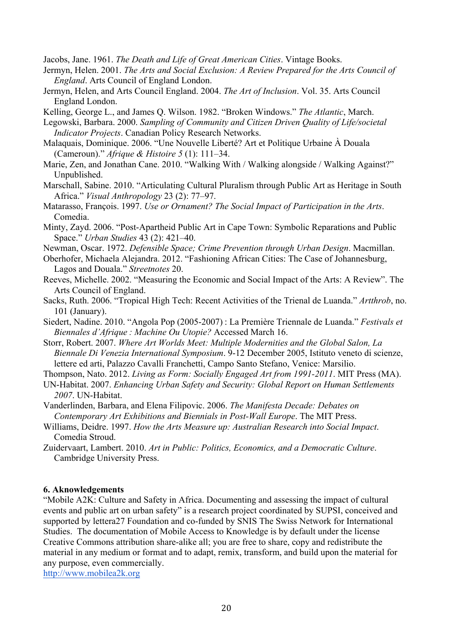Jacobs, Jane. 1961. *The Death and Life of Great American Cities*. Vintage Books.

- Jermyn, Helen. 2001. *The Arts and Social Exclusion: A Review Prepared for the Arts Council of England*. Arts Council of England London.
- Jermyn, Helen, and Arts Council England. 2004. *The Art of Inclusion*. Vol. 35. Arts Council England London.

Kelling, George L., and James Q. Wilson. 1982. "Broken Windows." *The Atlantic*, March.

- Legowski, Barbara. 2000. *Sampling of Community and Citizen Driven Quality of Life/societal Indicator Projects*. Canadian Policy Research Networks.
- Malaquais, Dominique. 2006. "Une Nouvelle Liberté? Art et Politique Urbaine À Douala (Cameroun)." *Afrique & Histoire 5* (1): 111–34.
- Marie, Zen, and Jonathan Cane. 2010. "Walking With / Walking alongside / Walking Against?" Unpublished.
- Marschall, Sabine. 2010. "Articulating Cultural Pluralism through Public Art as Heritage in South Africa." *Visual Anthropology* 23 (2): 77–97.
- Matarasso, François. 1997. *Use or Ornament? The Social Impact of Participation in the Arts*. Comedia.
- Minty, Zayd. 2006. "Post-Apartheid Public Art in Cape Town: Symbolic Reparations and Public Space." *Urban Studies* 43 (2): 421–40.
- Newman, Oscar. 1972. *Defensible Space; Crime Prevention through Urban Design*. Macmillan.
- Oberhofer, Michaela Alejandra. 2012. "Fashioning African Cities: The Case of Johannesburg, Lagos and Douala." *Streetnotes* 20.
- Reeves, Michelle. 2002. "Measuring the Economic and Social Impact of the Arts: A Review". The Arts Council of England.
- Sacks, Ruth. 2006. "Tropical High Tech: Recent Activities of the Trienal de Luanda." *Artthrob*, no. 101 (January).
- Siedert, Nadine. 2010. "Angola Pop (2005-2007) : La Première Triennale de Luanda." *Festivals et Biennales d'Afrique : Machine Ou Utopie?* Accessed March 16.
- Storr, Robert. 2007. *Where Art Worlds Meet: Multiple Modernities and the Global Salon, La Biennale Di Venezia International Symposium*. 9-12 December 2005, Istituto veneto di scienze, lettere ed arti, Palazzo Cavalli Franchetti, Campo Santo Stefano, Venice: Marsilio.

Thompson, Nato. 2012. *Living as Form: Socially Engaged Art from 1991-2011*. MIT Press (MA).

UN-Habitat. 2007. *Enhancing Urban Safety and Security: Global Report on Human Settlements 2007*. UN-Habitat.

Vanderlinden, Barbara, and Elena Filipovic. 2006. *The Manifesta Decade: Debates on Contemporary Art Exhibitions and Biennials in Post-Wall Europe*. The MIT Press.

- Williams, Deidre. 1997. *How the Arts Measure up: Australian Research into Social Impact*. Comedia Stroud.
- Zuidervaart, Lambert. 2010. *Art in Public: Politics, Economics, and a Democratic Culture*. Cambridge University Press.

#### **6. Aknowledgements**

"Mobile A2K: Culture and Safety in Africa. Documenting and assessing the impact of cultural events and public art on urban safety" is a research project coordinated by SUPSI, conceived and supported by lettera27 Foundation and co-funded by SNIS The Swiss Network for International Studies. The documentation of Mobile Access to Knowledge is by default under the license Creative Commons attribution share-alike all; you are free to share, copy and redistribute the material in any medium or format and to adapt, remix, transform, and build upon the material for any purpose, even commercially.

http://www.mobilea2k.org